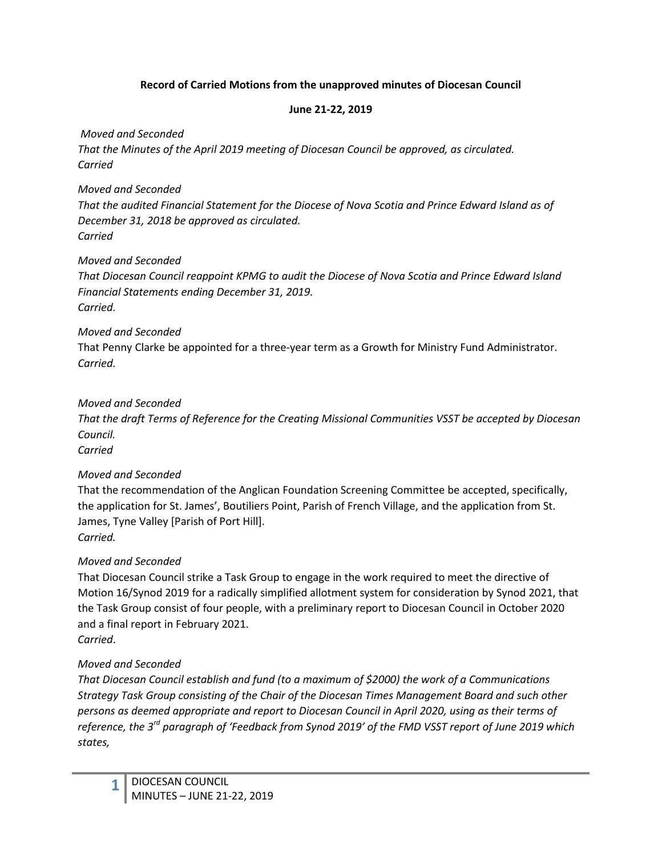#### **Record of Carried Motions from the unapproved minutes of Diocesan Council**

#### **June 21-22, 2019**

*Moved and Seconded* 

*That the Minutes of the April 2019 meeting of Diocesan Council be approved, as circulated. Carried*

## *Moved and Seconded*

*That the audited Financial Statement for the Diocese of Nova Scotia and Prince Edward Island as of December 31, 2018 be approved as circulated. Carried*

## *Moved and Seconded*

*That Diocesan Council reappoint KPMG to audit the Diocese of Nova Scotia and Prince Edward Island Financial Statements ending December 31, 2019. Carried.*

## *Moved and Seconded*

That Penny Clarke be appointed for a three-year term as a Growth for Ministry Fund Administrator. *Carried.*

## *Moved and Seconded*

*That the draft Terms of Reference for the Creating Missional Communities VSST be accepted by Diocesan Council.* 

*Carried*

# *Moved and Seconded*

That the recommendation of the Anglican Foundation Screening Committee be accepted, specifically, the application for St. James', Boutiliers Point, Parish of French Village, and the application from St. James, Tyne Valley [Parish of Port Hill]. *Carried.*

# *Moved and Seconded*

That Diocesan Council strike a Task Group to engage in the work required to meet the directive of Motion 16/Synod 2019 for a radically simplified allotment system for consideration by Synod 2021, that the Task Group consist of four people, with a preliminary report to Diocesan Council in October 2020 and a final report in February 2021. *Carried*.

# *Moved and Seconded*

*That Diocesan Council establish and fund (to a maximum of \$2000) the work of a Communications Strategy Task Group consisting of the Chair of the Diocesan Times Management Board and such other persons as deemed appropriate and report to Diocesan Council in April 2020, using as their terms of reference, the 3rd paragraph of 'Feedback from Synod 2019' of the FMD VSST report of June 2019 which states,*